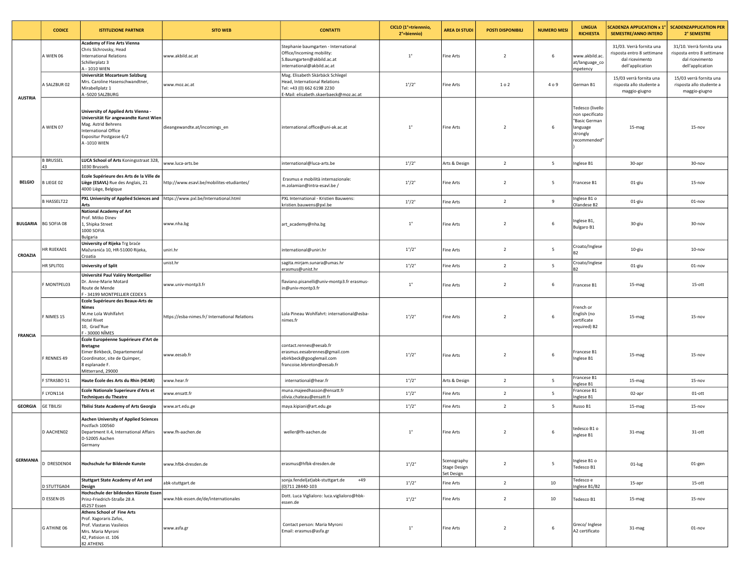|                 | <b>CODICE</b>                 | <b>ISTITUZIONE PARTNER</b>                                                                                                                                            | <b>SITO WEB</b>                                | <b>CONTATTI</b>                                                                                                                           | CICLO (1 <sup>e</sup> =triennnio,<br>2°=biennio) | <b>AREA DI STUDI</b>                             | <b>POSTI DISPONIBILI</b> | <b>NUMERO MESI</b> | <b>LINGUA</b><br><b>RICHIESTA</b>                                                            | <b>SCADENZA APPLICATION x 1°</b><br><b>SEMESTRE/ANNO INTERO</b>                               | <b>SCADENZAPPLICATION PER</b><br>2° SEMESTRE                                                  |
|-----------------|-------------------------------|-----------------------------------------------------------------------------------------------------------------------------------------------------------------------|------------------------------------------------|-------------------------------------------------------------------------------------------------------------------------------------------|--------------------------------------------------|--------------------------------------------------|--------------------------|--------------------|----------------------------------------------------------------------------------------------|-----------------------------------------------------------------------------------------------|-----------------------------------------------------------------------------------------------|
| <b>AUSTRIA</b>  | A WIEN 06                     | <b>Academy of Fine Arts Vienna</b><br>Chris Sichrovsky, Head<br><b>International Relations</b><br>Schillerplatz 3<br>A - 1010 WIEN                                    | www.akbild.ac.at                               | Stephanie baumgarten - International<br>Office/Incoming mobility:<br>S.Baumgarten@akbild.ac.at<br>nternational@akbild.ac.at               | $1^{\circ}$                                      | Fine Arts                                        | $\overline{2}$           | 6                  | www.akbild.ac<br>at/language_co<br>mpetency                                                  | 31/03. Verrà fornita una<br>risposta entro 8 settimane<br>dal ricevimento<br>dell'application | 31/10. Verrà fornita una<br>risposta entro 8 settimane<br>dal ricevimento<br>dell'application |
|                 | A SALZBUR 02                  | Universität Mozarteum Salzburg<br>Mrs. Caroline Hasenschwandtner,<br>Mirabellplatz 1<br>A-5020 SALZBURG                                                               | www.moz.ac.at                                  | Mag. Elisabeth Skärbäck Schlegel<br>Head, International Relations<br>Tel: +43 (0) 662 6198 2230<br>E-Mail: elisabeth.skaerbaeck@moz.ac.at | $1^{\circ}/2^{\circ}$                            | Fine Arts                                        | 1 o 2                    | 409                | German B1                                                                                    | 15/03 verrà fornita una<br>risposta allo studente a<br>maggio-giugno                          | 15/03 verrà fornita una<br>risposta allo studente a<br>maggio-giugno                          |
|                 | A WIEN 07                     | University of Applied Arts Vienna -<br>Universität für angewandte Kunst Wien<br>Mag. Astrid Behrens<br>International Office<br>Expositur Postgasse 6/2<br>A-1010 WIEN | dieangewandte.at/incomings_en                  | international.office@uni-ak.ac.at                                                                                                         | $1^{\circ}$                                      | Fine Arts                                        | $\overline{2}$           | 6                  | Tedesco (livello<br>non specificato<br>"Basic German<br>language<br>strongly<br>recommended" | 15-mag                                                                                        | $15 - nov$                                                                                    |
|                 | <b>B BRUSSEL</b><br>43        | LUCA School of Arts Koningsstraat 328,<br>1030 Brussels                                                                                                               | www.luca-arts.be                               | nternational@luca-arts.be                                                                                                                 | $1^{\circ}/2^{\circ}$                            | Arts & Design                                    | $\overline{2}$           | 5                  | Inglese B1                                                                                   | 30-apr                                                                                        | 30-nov                                                                                        |
| <b>BELGIO</b>   | <b>BLIEGE 02</b>              | Ecole Supérieure des Arts de la Ville de<br>Liège (ESAVL) Rue des Anglais, 21<br>4000 Liège, Belgique                                                                 | http://www.esavl.be/mobilites-etudiantes/      | Erasmus e mobilità internazionale:<br>m.zolamian@intra-esavl.be /                                                                         | $1^{\circ}/2^{\circ}$                            | Fine Arts                                        | $\overline{2}$           | 5                  | Francese B1                                                                                  | 01-giu                                                                                        | $15 - nov$                                                                                    |
|                 | <b>B HASSELT22</b>            | PXL University of Applied Sciences and   https://www.pxl.be/International.html<br>Arts                                                                                |                                                | PXL International - Kristien Bauwens:<br>kristien.bauwens@pxl.be                                                                          | $1^{\circ}/2^{\circ}$                            | Fine Arts                                        | $\overline{2}$           | 9                  | Inglese B1 o<br>Olandese B2                                                                  | 01-giu                                                                                        | 01-nov                                                                                        |
|                 | <b>BULGARIA</b>   BG SOFIA 08 | National Academy of Art<br>Prof. Mitko Dinev<br>1, Shipka Street<br>1000 SOFIA<br>Bulgaria                                                                            | www.nha.bg                                     | art_academy@nha.bg                                                                                                                        | $1^{\circ}$                                      | Fine Arts                                        | $\overline{2}$           | 6                  | Inglese B1,<br>Bulgaro B1                                                                    | 30-giu                                                                                        | 30-nov                                                                                        |
| CROAZIA         | HR RIJEKA01                   | University of Rijeka Trg braće<br>Mažuranića 10, HR-51000 Rijeka,<br>Croatia                                                                                          | uniri.hr                                       | international@uniri.hr                                                                                                                    | $1^{\circ}/2^{\circ}$                            | Fine Arts                                        | $\overline{2}$           | 5                  | Croato/Inglese<br><b>B2</b>                                                                  | 10-giu                                                                                        | $10 - nov$                                                                                    |
|                 | HR SPLIT01                    | <b>University of Split</b>                                                                                                                                            | unist.hr                                       | sagita.mirjam.sunara@umas.hr<br>erasmus@unist.hr                                                                                          | $1^{\circ}/2^{\circ}$                            | Fine Arts                                        | $\overline{2}$           | $5\overline{5}$    | Croato/Inglese<br>B <sub>2</sub>                                                             | 01-giu                                                                                        | 01-nov                                                                                        |
| <b>FRANCIA</b>  | F MONTPEL03                   | Université Paul Valéry Montpellier<br>Dr. Anne-Marie Motard<br>Route de Mende<br>F - 34199 MONTPELLIER CEDEX 5                                                        | www.univ-montp3.fr                             | flaviano.pisanelli@univ-montp3.fr erasmus-<br>n@univ-montp3.fr                                                                            | $1^{\circ}$                                      | Fine Arts                                        | $\overline{2}$           | 6                  | Francese B1                                                                                  | 15-mag                                                                                        | 15-ott                                                                                        |
|                 | F NIMES 15                    | Ecole Supérieure des Beaux-Arts de<br>Nimes<br>M.me Lola Wohlfahrt<br><b>Hotel Rivet</b><br>10, Grad'Rue<br>F - 30000 NÎMES                                           | https://esba-nimes.fr/ International Relations | Lola Pineau Wohlfahrt: international@esba-<br>nimes.fr                                                                                    | $1^{\circ}/2^{\circ}$                            | <b>Fine Arts</b>                                 | $\overline{2}$           | 6                  | rench or<br>English (no<br>certificate<br>required) B2                                       | 15-mag                                                                                        | $15 - nov$                                                                                    |
|                 | F RENNES 49                   | École Européenne Supérieure d'Art de<br><b>Bretagne</b><br>Eimer Birkbeck, Departemental<br>Coordinator, site de Quimper,<br>8 esplanade F.<br>Mitterrand, 29000      | www.eesab.fr                                   | contact.rennes@eesab.fr<br>erasmus.eesabrennes@gmail.com<br>ebirkbeck@googlemail.com<br>francoise.lebreton@eesab.fr                       | $1^{\circ}/2^{\circ}$                            | Fine Arts                                        | $\overline{2}$           | 6                  | Francese B1<br>Inglese B1                                                                    | 15-mag                                                                                        | $15 - nov$                                                                                    |
|                 | F STRASBO 51                  | Haute École des Arts du Rhin (HEAR)                                                                                                                                   | www.hear.fr                                    | international@hear.fr                                                                                                                     | $1^{\circ}/2^{\circ}$                            | Arts & Design                                    | $\overline{2}$           | 5                  | Francese B1<br>Inglese B1                                                                    | 15-mag                                                                                        | $15 - nov$                                                                                    |
|                 | FLYON114                      | Ecole Nationale Superieure d'Arts et<br><b>Techniques du Theatre</b>                                                                                                  | www.ensatt.fr                                  | muna.majeedhasson@ensatt.fr<br>olivia.chateau@ensatt.fr                                                                                   | $1^{\circ}/2^{\circ}$                            | Fine Arts                                        | $\overline{2}$           | 5                  | Francese B1<br>Inglese B1                                                                    | 02-apr                                                                                        | $01$ -ott                                                                                     |
| <b>GEORGIA</b>  | <b>GE TBILISI</b>             | Tbilisi State Academy of Arts Georgia                                                                                                                                 | www.art.edu.ge                                 | maya.kipiani@art.edu.ge                                                                                                                   | $1^{\circ}/2^{\circ}$                            | Fine Arts                                        | $\overline{2}$           | 5                  | Russo B1                                                                                     | 15-mag                                                                                        | $15 - nov$                                                                                    |
| <b>GERMANIA</b> | D AACHEN02                    | Aachen University of Applied Sciences<br>Postfach 100560<br>Department II.4, International Affairs<br>D-52005 Aachen<br>Germany                                       | www.fh-aachen.de                               | weller@fh-aachen.de                                                                                                                       | $1^{\circ}$                                      | Fine Arts                                        | $\overline{2}$           | 6                  | tedesco B1 o<br>inglese B1                                                                   | 31-mag                                                                                        | 31-ott                                                                                        |
|                 | DRESDEN04                     | Hochschule fur Bildende Kunste                                                                                                                                        | www.hfbk-dresden.de                            | erasmus@hfbk-dresden.de                                                                                                                   | $1^{\circ}/2^{\circ}$                            | Scenography<br><b>Stage Design</b><br>Set Design | $\overline{2}$           | 5                  | Inglese B1 o<br>Tedesco B1                                                                   | 01-lug                                                                                        | 01-gen                                                                                        |
|                 | <b>D STUTTGA04</b>            | <b>Stuttgart State Academy of Art and</b><br><b>Design</b>                                                                                                            | abk-stuttgart.de                               | sonja.fendel(at)abk-stuttgart.de<br>$+49$<br>(0)711 28440-103                                                                             | $1^{\circ}/2^{\circ}$                            | Fine Arts                                        | $\overline{2}$           | 10                 | Tedesco e<br>Inglese B1/B2                                                                   | 15-apr                                                                                        | 15-ott                                                                                        |
|                 | D ESSEN 05                    | Hochschule der bildenden Künste Essen<br>Prinz-Friedrich-Straße 28 A<br>45257 Essen                                                                                   | www.hbk-essen.de/de/internationales            | Dott. Luca Viglialoro: luca.viglialoro@hbk-<br>essen.de                                                                                   | $1^{\circ}/2^{\circ}$                            | Fine Arts                                        | $\overline{2}$           | 10                 | Tedesco B1                                                                                   | 15-mag                                                                                        | $15 - nov$                                                                                    |
|                 | G ATHINE 06                   | Athens School of Fine Arts<br>Prof. Xagoraris Zafos,<br>Prof. Vlastaras Vasileios<br>Mrs. Maria Myroni<br>42, Patision st. 106<br>82 ATHENS                           | www.asfa.gr                                    | Contact person: Maria Myroni<br>Email: erasmus@asfa.gr                                                                                    | $1^{\circ}$                                      | Fine Arts                                        | $\overline{2}$           | 6                  | Greco/ Inglese<br>A2 certificato                                                             | 31-mag                                                                                        | $01 - nov$                                                                                    |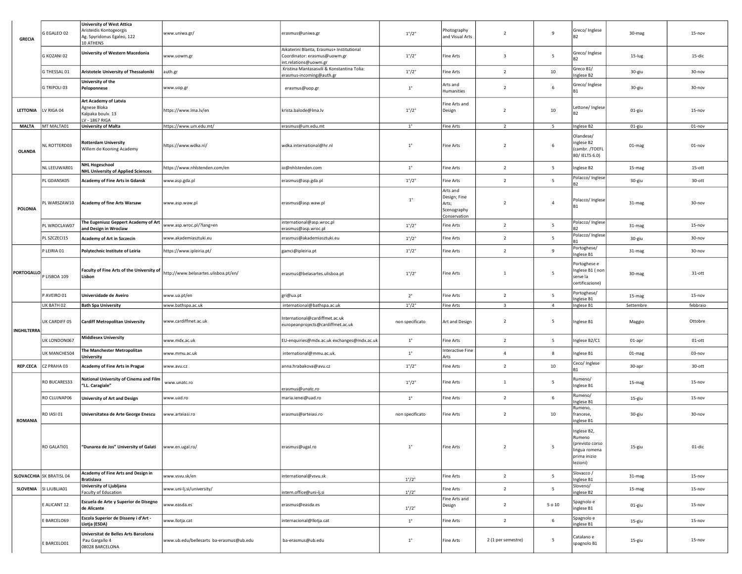| <b>GRECIA</b>      | G EGALEO 02              | <b>University of West Attica</b><br>Aristeidis Kontogeorgis<br>Ag. Spyridonus Egaleo, 122<br>10 ATHENS | www.uniwa.gr/                           | erasmus@uniwa.gr                                                                                  | $1^{\circ}/2^{\circ}$ | Photography<br>and Visual Arts                                   | $\overline{2}$          | $\overline{9}$ | Greco/Inglese                                                                         | 30-mag    | $15 - nov$ |
|--------------------|--------------------------|--------------------------------------------------------------------------------------------------------|-----------------------------------------|---------------------------------------------------------------------------------------------------|-----------------------|------------------------------------------------------------------|-------------------------|----------------|---------------------------------------------------------------------------------------|-----------|------------|
|                    | G KOZANI 02              | University of Western Macedonia                                                                        | www.uowm.gr                             | Aikaterini Blanta, Erasmus+ Institutional<br>Coordinator: erasmus@uowm.gr<br>nt.relations@uowm.gr | $1^{\circ}/2^{\circ}$ | Fine Arts                                                        | $\overline{\mathbf{3}}$ | 5              | Greco/Inglese                                                                         | $15$ -lug | 15-dic     |
|                    | G THESSAL 01             | Aristotele University of Thessaloniki                                                                  | auth.gr                                 | Kristina Mantasasvili & Konstantina Tolia:<br>erasmus-incoming@auth.gr                            | $1^{\circ}/2^{\circ}$ | <b>Fine Arts</b>                                                 | $\overline{2}$          | 10             | Greco B1/<br>Inglese B2                                                               | 30-giu    | 30-nov     |
|                    | G TRIPOLI 03             | University of the<br>Peloponnese                                                                       | www.uop.gr                              | erasmus@uop.gr                                                                                    | $1^{\circ}$           | Arts and<br>Humanities                                           | $\overline{2}$          | 6              | Greco/Inglese<br>R1                                                                   | 30-giu    | 30-nov     |
| LETTONIA           | LV RIGA 04               | Art Academy of Latvia<br>Agnese Bloka<br>Kalpaka boulv. 13<br>LV - 1867 RIGA                           | https://www.lma.lv/en                   | krista.balode@lma.lv                                                                              | $1^{\circ}/2^{\circ}$ | Fine Arts and<br>Design                                          | $\overline{2}$          | 10             | Lettone/ Inglese<br>R2                                                                | 01-giu    | 15-nov     |
| <b>MALTA</b>       | MT MALTA01               | University of Malta                                                                                    | https://www.um.edu.mt/                  | erasmus@um.edu.mt                                                                                 | $1^{\circ}$           | <b>Fine Arts</b>                                                 | $\overline{2}$          | 5              | Inglese B2                                                                            | 01-giu    | $01 - nov$ |
| <b>OLANDA</b>      | NL ROTTERD03             | <b>Rotterdam University</b><br>Willem de Kooning Academy                                               | https://www.wdka.nl/                    | wdka.international@hr.nl                                                                          | $1^{\circ}$           | <b>Fine Arts</b>                                                 | $\overline{2}$          | 6              | Olandese/<br>inglese B2<br>(cambr./TOEFL<br>80/ IELTS 6.0)                            | 01-mag    | $01 - nov$ |
|                    | NL LEEUWAR01             | <b>NHL Hogeschool</b><br><b>NHL University of Applied Sciences</b>                                     | https://www.nhlstenden.com/en           | io@nhlstenden.com                                                                                 | $1^{\circ}$           | <b>Fine Arts</b>                                                 | $\overline{2}$          | 5              | Inglese B2                                                                            | 15-mag    | $15$ -ott  |
|                    | PL GDANSK05              | <b>Academy of Fine Arts in Gdansk</b>                                                                  | www.asp.gda.pl                          | erasmus@asp.gda.pl                                                                                | $1^{\circ}/2^{\circ}$ | Fine Arts                                                        | $\overline{2}$          | 5              | Polacco/ Inglese<br>R2                                                                | 30-giu    | 30-ott     |
| POLONIA            | PL WARSZAW10             | <b>Academy of fine Arts Warsaw</b>                                                                     | www.asp.waw.pl                          | erasmus@asp.waw.pl                                                                                | $1^{\circ}$           | Arts and<br>Design; Fine<br>Arts;<br>Scenography<br>Conservation | $\overline{2}$          | $\overline{4}$ | Polacco/ Inglese<br>R1                                                                | 31-mag    | 30-nov     |
|                    | PL WROCLAW07             | The Eugeniusz Geppert Academy of Art<br>and Design in Wroclaw                                          | www.asp.wroc.pl/?lang=en                | nternational@asp.wroc.pl<br>erasmus@asp.wroc.pl                                                   | $1^{\circ}/2^{\circ}$ | <b>Fine Arts</b>                                                 | $\overline{2}$          | 5              | Polacco/ Inglese                                                                      | 31-mag    | $15 - nov$ |
|                    | PL SZCZECI15             | Academy of Art in Szczecin                                                                             | www.akademiasztuki.eu                   | erasmus@akademiasztuki.eu                                                                         | $1^{\circ}/2^{\circ}$ | <b>Fine Arts</b>                                                 | $\overline{2}$          | 5              | Polacco/ Inglese                                                                      | 30-giu    | 30-nov     |
|                    | P LEIRIA 01              | Polytechnic Institute of Leiria                                                                        | https://www.ipleiria.pt/                | gamci@ipleiria.pt                                                                                 | $1^{\circ}/2^{\circ}$ | <b>Fine Arts</b>                                                 | $\overline{2}$          | 9              | Portoghese/<br>Inglese B1                                                             | 31-mag    | 30-nov     |
| <b>PORTOGALLO</b>  | P LISBOA 109             | Faculty of Fine Arts of the University of<br>Lisbon                                                    | http://www.belasartes.ulisboa.pt/en/    | erasmus@belasartes.ulisboa.pt                                                                     | $1^{\circ}/2^{\circ}$ | <b>Fine Arts</b>                                                 | $\mathbf{1}$            | 5              | Portoghese e<br>Inglese B1 (non<br>serve la<br>certificazione)                        | 30-mag    | 31-ott     |
|                    | P AVEIRO 01              | Universidade de Aveiro                                                                                 | www.ua.pt/en                            | gri@ua.pt                                                                                         | $2^{\circ}$           | Fine Arts                                                        | $\overline{2}$          | 5              | Portoghese/<br>Inglese B1                                                             | 15-mag    | $15 - nov$ |
|                    | UK BATH 02               | <b>Bath Spa University</b>                                                                             | www.bathspa.ac.uk                       | international@bathspa.ac.uk                                                                       | $1^{\circ}/2^{\circ}$ | <b>Fine Arts</b>                                                 | $\overline{\mathbf{3}}$ | $\overline{4}$ | Inglese B1                                                                            | Settembre | febbraio   |
| <b>INGHILTERRA</b> | UK CARDIFF 05            | <b>Cardiff Metropolitan University</b>                                                                 | www.cardiffmet.ac.uk                    | nternational@cardiffmet.ac.uk<br>europeanprojects@cardiffmet.ac.uk                                | non specificato       | Art and Design                                                   | $\overline{2}$          | 5              | Inglese B1                                                                            | Maggio    | Ottobre    |
|                    | UK LONDON067             | <b>Middlesex University</b>                                                                            | www.mdx.ac.uk                           | EU-enquiries@mdx.ac.uk exchanges@mdx.ac.uk                                                        | $1^{\circ}$           | Fine Arts                                                        | $\overline{2}$          | 5              | Inglese B2/C1                                                                         | 01-apr    | $01$ -ott  |
|                    | <b>UK MANCHES04</b>      | The Manchester Metropolitan<br>University                                                              | www.mmu.ac.uk                           | international@mmu.ac.uk.                                                                          | $1^{\circ}$           | <b>Interactive Fine</b><br>Arts                                  | $\overline{4}$          | 8              | Inglese B1                                                                            | 01-mag    | 03-nov     |
| <b>REP.CECA</b>    | CZ PRAHA 03              | Academy of Fine Arts in Prague                                                                         | www.avu.cz                              | anna.hrabakova@avu.cz                                                                             | $1^{\circ}/2^{\circ}$ | <b>Fine Arts</b>                                                 | $\overline{2}$          | 10             | Ceco/ Inglese<br>R1                                                                   | 30-apr    | 30-ott     |
|                    | RO BUCARES33             | National University of Cinema and Film<br>"I.L. Caragiale"                                             | www.unatc.ro                            | erasmus@unatc.ro                                                                                  | $1^{\circ}/2^{\circ}$ | Fine Arts                                                        | 1                       | 5              | Rumeno/<br>Inglese B1                                                                 | 15-mag    | 15-nov     |
|                    | RO CLUJNAP06             | University of Art and Design                                                                           | www.uad.ro                              | maria.ienei@uad.ro                                                                                | $1^{\circ}$           | <b>Fine Arts</b>                                                 | $\overline{2}$          | 6              | Rumeno/<br>Inglese B1                                                                 | 15-giu    | $15 - nov$ |
| <b>ROMANIA</b>     | RO IASI 01               | Universitatea de Arte George Enescu                                                                    | www.arteiasi.ro                         | erasmus@arteiasi.ro                                                                               | non specificato       | Fine Arts                                                        | $\overline{2}$          | 10             | Rumeno,<br>francese,<br>inglese B1                                                    | 30-giu    | 30-nov     |
|                    | RO GALATI01              | "Dunarea de Jos" University of Galati                                                                  | www.en.ugal.ro/                         | erasmus@ugal.ro                                                                                   | $1^{\circ}$           | <b>Fine Arts</b>                                                 | $\overline{2}$          | 5              | Inglese B2,<br>Rumeno<br>(previsto corso<br>lingua romena<br>prima inizio<br>lezioni) | 15-giu    | 01-dic     |
|                    | SLOVACCHIA SK BRATISL 04 | <b>Academy of Fine Arts and Design in</b><br><b>Bratislava</b>                                         | www.vsvu.sk/en                          | nternational@vsvu.sk                                                                              | $1^{\circ}/2^{\circ}$ | <b>Fine Arts</b>                                                 | $\overline{2}$          | 5              | Slovacco/<br>Inglese B1                                                               | 31-mag    | $15 - nov$ |
|                    | SLOVENIA SI LJUBLJA01    | University of Ljubljana<br>Faculty of Education                                                        | www.uni-lj.si/university/               | ntern.office@uni-lj.si                                                                            | $1^{\circ}/2^{\circ}$ | <b>Fine Arts</b>                                                 | $\overline{2}$          | 5              | Sloveno/<br>inglese B2                                                                | 15-mag    | $15 - nov$ |
|                    | E ALICANT 12             | Escuela de Arte y Superior de Disegno<br>de Alicante                                                   | www.easda.es                            | erasmus@easda.es                                                                                  | $1^{\circ}/2^{\circ}$ | Fine Arts and<br>Design                                          | $\overline{2}$          | 5 o 10         | Spagnolo e<br>inglese B1                                                              | 01-giu    | $15 - nov$ |
|                    | E BARCELO69              | Escola Superior de Disseny i d'Art -<br>Llotja (ESDA)                                                  | www.llotja.cat                          | nternacional@llotja.cat                                                                           | $1^{\circ}$           | <b>Fine Arts</b>                                                 | $\overline{2}$          | 6              | Spagnolo e<br>inglese B1                                                              | 15-giu    | $15 - nov$ |
|                    | E BARCELO01              | Universitat de Belles Arts Barcelona<br>Pau Gargallo 4<br>08028 BARCELONA                              | www.ub.edu/bellesarts ba-erasmus@ub.edu | ba-erasmus@ub.edu                                                                                 | $1^{\circ}$           | Fine Arts                                                        | 2 (1 per semestre)      | 5              | Catalano e<br>spagnolo B1                                                             | 15-giu    | $15 - nov$ |